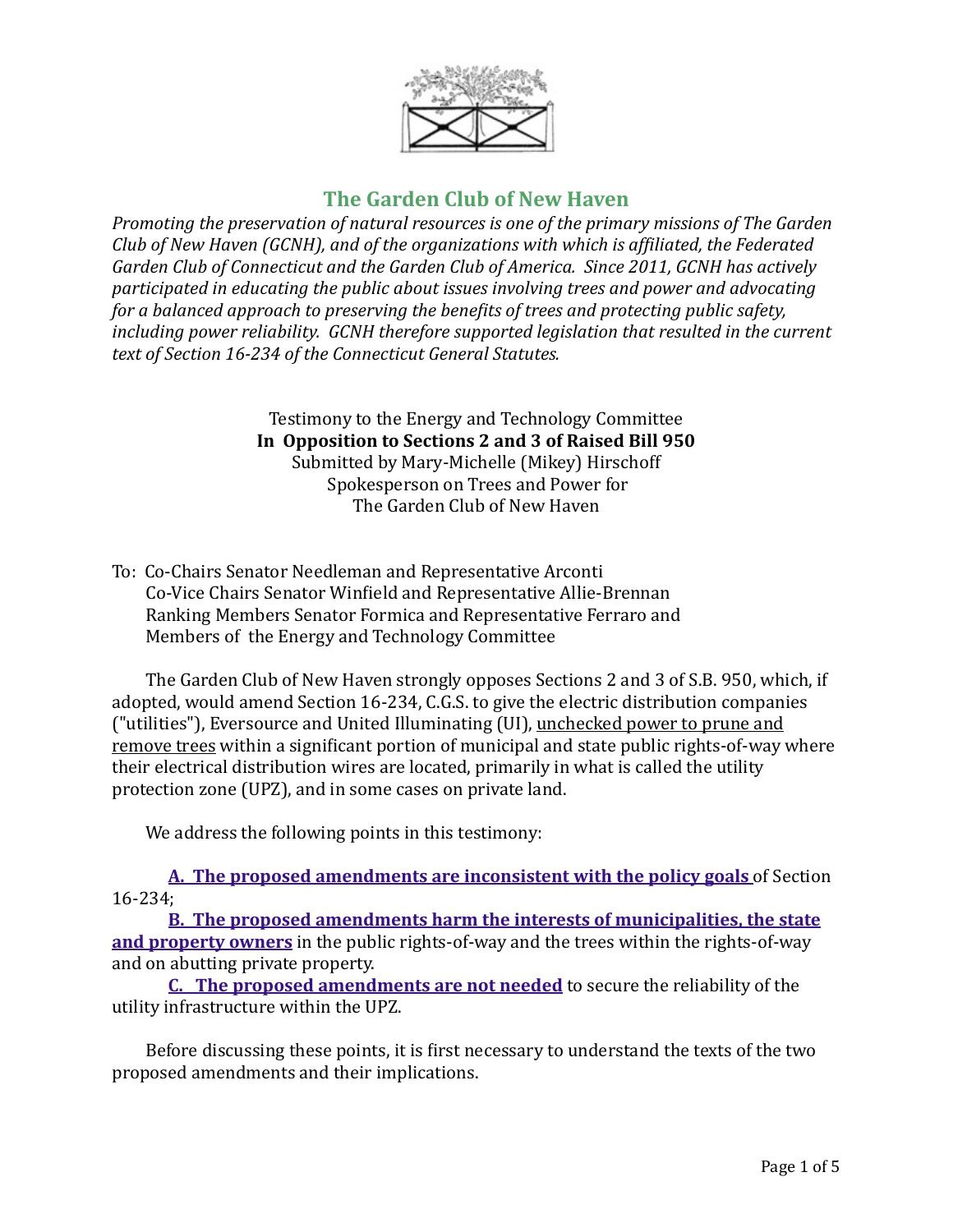

# **The Garden Club of New Haven**

*Promoting the preservation of natural resources is one of the primary missions of The Garden Club* of New Haven (GCNH), and of the organizations with which is affiliated, the Federated Garden Club of Connecticut and the Garden Club of America. Since 2011, GCNH has actively *participated in educating the public about issues involving trees and power and advocating for a balanced approach to preserving the benefits of trees and protecting public safety, including power reliability. GCNH therefore supported legislation that resulted in the current* text of Section 16-234 of the Connecticut General Statutes.

> Testimony to the Energy and Technology Committee In Opposition to Sections 2 and 3 of Raised Bill 950 Submitted by Mary-Michelle (Mikey) Hirschoff Spokesperson on Trees and Power for The Garden Club of New Haven

To: Co-Chairs Senator Needleman and Representative Arconti Co-Vice Chairs Senator Winfield and Representative Allie-Brennan Ranking Members Senator Formica and Representative Ferraro and Members of the Energy and Technology Committee

The Garden Club of New Haven strongly opposes Sections 2 and 3 of S.B. 950, which, if adopted, would amend Section 16-234, C.G.S. to give the electric distribution companies ("utilities"), Eversource and United Illuminating (UI), unchecked power to prune and remove trees within a significant portion of municipal and state public rights-of-way where their electrical distribution wires are located, primarily in what is called the utility protection zone (UPZ), and in some cases on private land.

We address the following points in this testimony:

**A.** The proposed amendments are inconsistent with the policy goals of Section 16-234;

**B.** The proposed amendments harm the interests of municipalities, the state **and property owners** in the public rights-of-way and the trees within the rights-of-way and on abutting private property.

**C.** The proposed amendments are not needed to secure the reliability of the utility infrastructure within the UPZ.

Before discussing these points, it is first necessary to understand the texts of the two proposed amendments and their implications.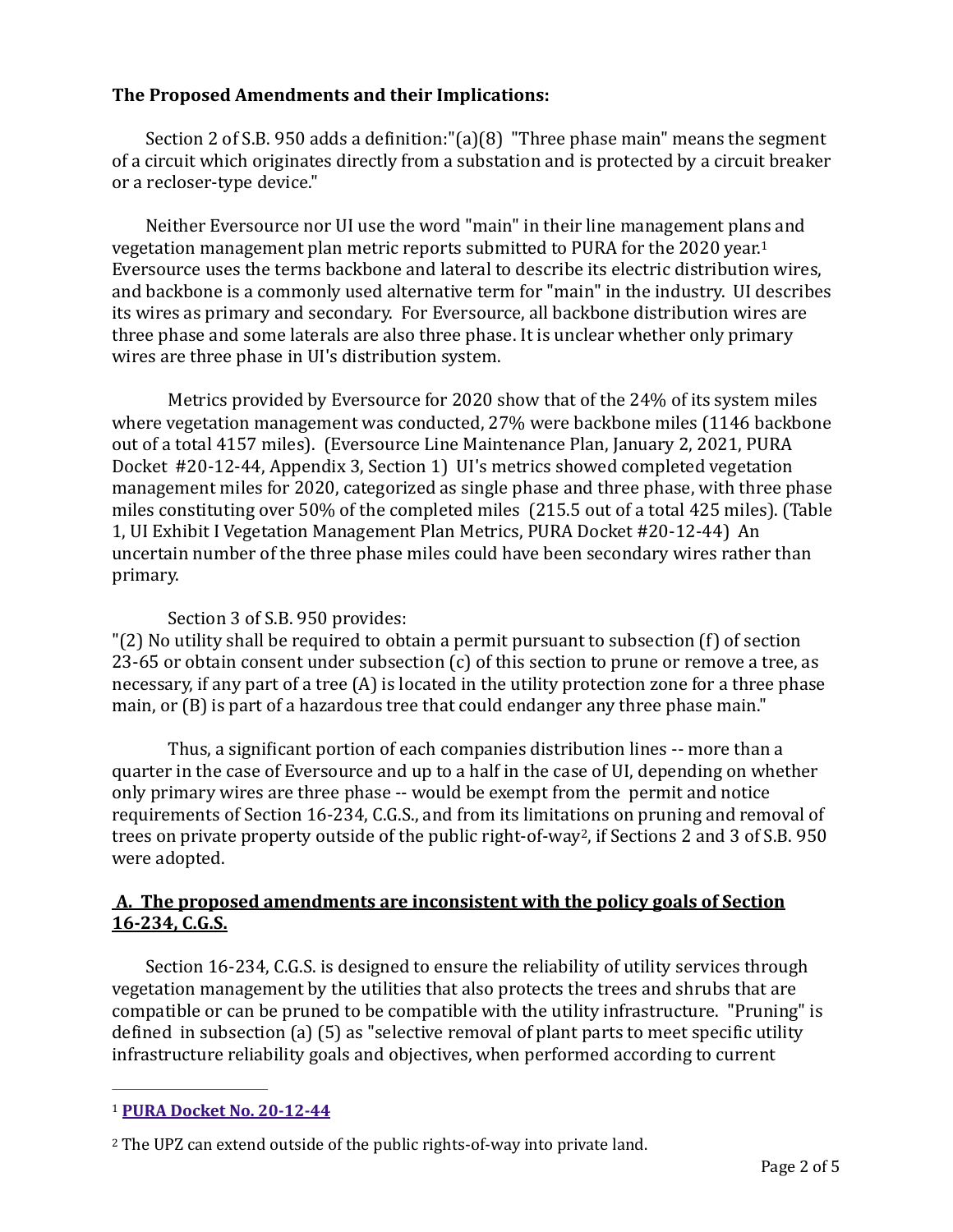# **The Proposed Amendments and their Implications:**

Section 2 of S.B. 950 adds a definition:" $(a)(8)$  "Three phase main" means the segment of a circuit which originates directly from a substation and is protected by a circuit breaker or a recloser-type device."

<span id="page-1-3"></span>Neither Eversource nor UI use the word "main" in their line management plans and vegetation management plan metric reports submitted to PURA for the  $2020$  year.<sup>[1](#page-1-1)</sup> Eversource uses the terms backbone and lateral to describe its electric distribution wires, and backbone is a commonly used alternative term for "main" in the industry. UI describes its wires as primary and secondary. For Eversource, all backbone distribution wires are three phase and some laterals are also three phase. It is unclear whether only primary wires are three phase in UI's distribution system.

Metrics provided by Eversource for 2020 show that of the 24% of its system miles where vegetation management was conducted,  $27%$  were backbone miles (1146 backbone out of a total 4157 miles). (Eversource Line Maintenance Plan, January 2, 2021, PURA Docket #20-12-44, Appendix 3, Section 1) UI's metrics showed completed vegetation management miles for 2020, categorized as single phase and three phase, with three phase miles constituting over 50% of the completed miles (215.5 out of a total 425 miles). (Table 1, UI Exhibit I Vegetation Management Plan Metrics, PURA Docket #20-12-44) An uncertain number of the three phase miles could have been secondary wires rather than primary.

## <span id="page-1-4"></span>Section 3 of S.B. 950 provides:

" $(2)$  No utility shall be required to obtain a permit pursuant to subsection  $(f)$  of section 23-65 or obtain consent under subsection  $(c)$  of this section to prune or remove a tree, as necessary, if any part of a tree  $(A)$  is located in the utility protection zone for a three phase main, or (B) is part of a hazardous tree that could endanger any three phase main."

Thus, a significant portion of each companies distribution lines -- more than a quarter in the case of Eversource and up to a half in the case of UI, depending on whether only primary wires are three phase -- would be exempt from the permit and notice requirements of Section 16-234, C.G.S., and from its limitations on pruning and removal of trees on private property outside of the public right-of-way<sup>[2](#page-1-2)</sup>, if Sections 2 and 3 of S.B. 950 were adopted.

## <span id="page-1-0"></span>A. The proposed amendments are inconsistent with the policy goals of Section **16-234, C.G.S.**

Section 16-234, C.G.S. is designed to ensure the reliability of utility services through vegetation management by the utilities that also protects the trees and shrubs that are compatible or can be pruned to be compatible with the utility infrastructure. "Pruning" is defined in subsection (a)  $(5)$  as "selective removal of plant parts to meet specific utility infrastructure reliability goals and objectives, when performed according to current

<span id="page-1-1"></span>[<sup>1</sup>](#page-1-3) **[PURA Docket No. 20-12-44](http://www.dpuc.state.ct.us/dockcurr.nsf/(Web+Main+View/All+Dockets)?OpenView&StartKey=20-12-44)**

<span id="page-1-2"></span><sup>&</sup>lt;sup>[2](#page-1-4)</sup> The UPZ can extend outside of the public rights-of-way into private land.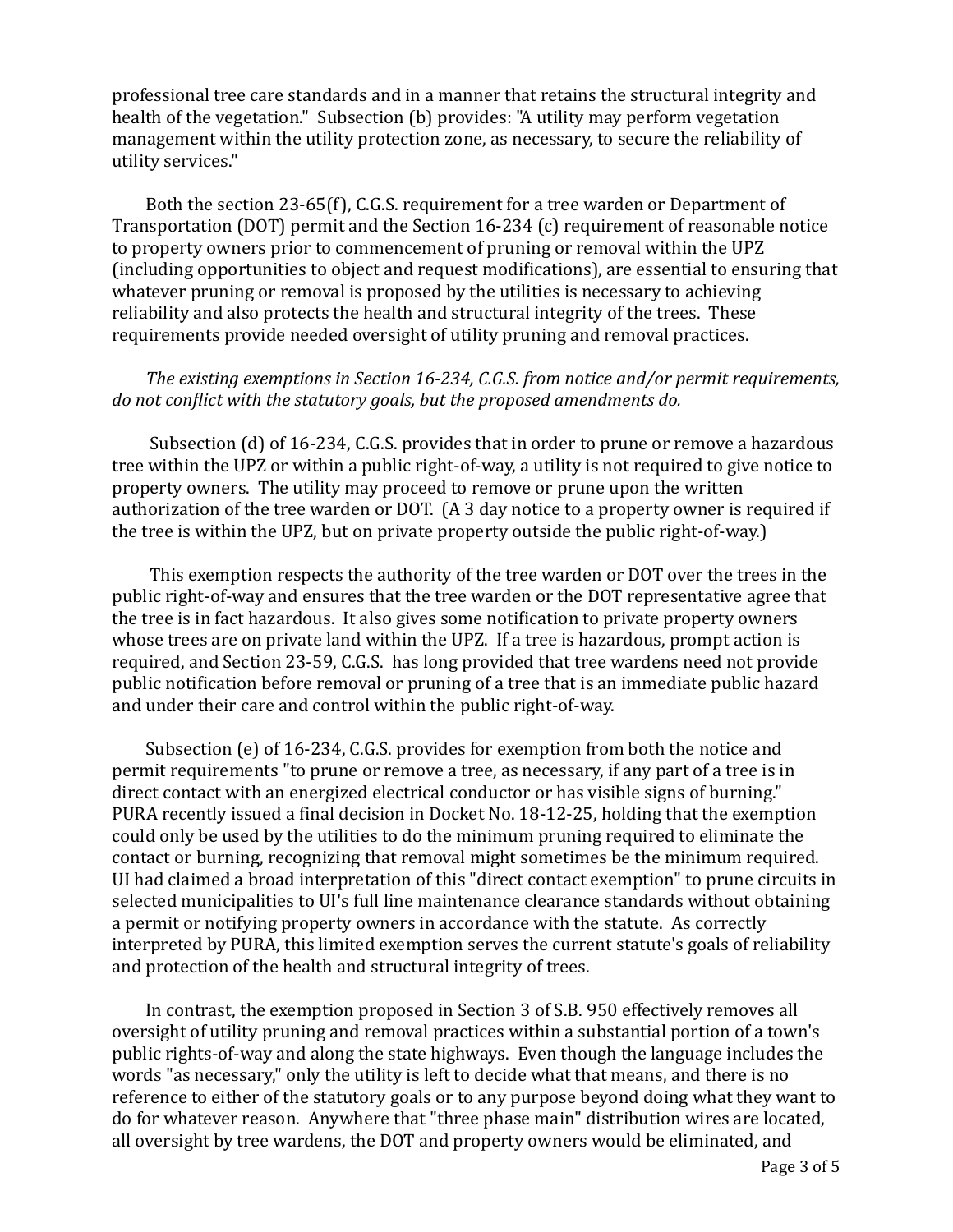professional tree care standards and in a manner that retains the structural integrity and health of the vegetation." Subsection (b) provides: "A utility may perform vegetation management within the utility protection zone, as necessary, to secure the reliability of utility services."

Both the section 23-65(f), C.G.S. requirement for a tree warden or Department of Transportation  $(DOT)$  permit and the Section 16-234  $(c)$  requirement of reasonable notice to property owners prior to commencement of pruning or removal within the UPZ (including opportunities to object and request modifications), are essential to ensuring that whatever pruning or removal is proposed by the utilities is necessary to achieving reliability and also protects the health and structural integrity of the trees. These requirements provide needed oversight of utility pruning and removal practices.

#### *The existing exemptions in Section 16-234, C.G.S. from notice and/or permit requirements, do* not conflict with the statutory goals, but the proposed amendments do.

Subsection  $(d)$  of 16-234, C.G.S. provides that in order to prune or remove a hazardous tree within the UPZ or within a public right-of-way, a utility is not required to give notice to property owners. The utility may proceed to remove or prune upon the written authorization of the tree warden or DOT.  $(A \, 3 \, day \, notice \, to \, a \, property \, owner \, is \, required \, if$ the tree is within the UPZ, but on private property outside the public right-of-way.)

This exemption respects the authority of the tree warden or DOT over the trees in the public right-of-way and ensures that the tree warden or the DOT representative agree that the tree is in fact hazardous. It also gives some notification to private property owners whose trees are on private land within the UPZ. If a tree is hazardous, prompt action is required, and Section 23-59, C.G.S. has long provided that tree wardens need not provide public notification before removal or pruning of a tree that is an immediate public hazard and under their care and control within the public right-of-way.

Subsection  $(e)$  of 16-234, C.G.S. provides for exemption from both the notice and permit requirements "to prune or remove a tree, as necessary, if any part of a tree is in direct contact with an energized electrical conductor or has visible signs of burning." PURA recently issued a final decision in Docket No. 18-12-25, holding that the exemption could only be used by the utilities to do the minimum pruning required to eliminate the contact or burning, recognizing that removal might sometimes be the minimum required. UI had claimed a broad interpretation of this "direct contact exemption" to prune circuits in selected municipalities to UI's full line maintenance clearance standards without obtaining a permit or notifying property owners in accordance with the statute. As correctly interpreted by PURA, this limited exemption serves the current statute's goals of reliability and protection of the health and structural integrity of trees.

In contrast, the exemption proposed in Section 3 of S.B. 950 effectively removes all oversight of utility pruning and removal practices within a substantial portion of a town's public rights-of-way and along the state highways. Even though the language includes the words "as necessary," only the utility is left to decide what that means, and there is no reference to either of the statutory goals or to any purpose beyond doing what they want to do for whatever reason. Anywhere that "three phase main" distribution wires are located, all oversight by tree wardens, the DOT and property owners would be eliminated, and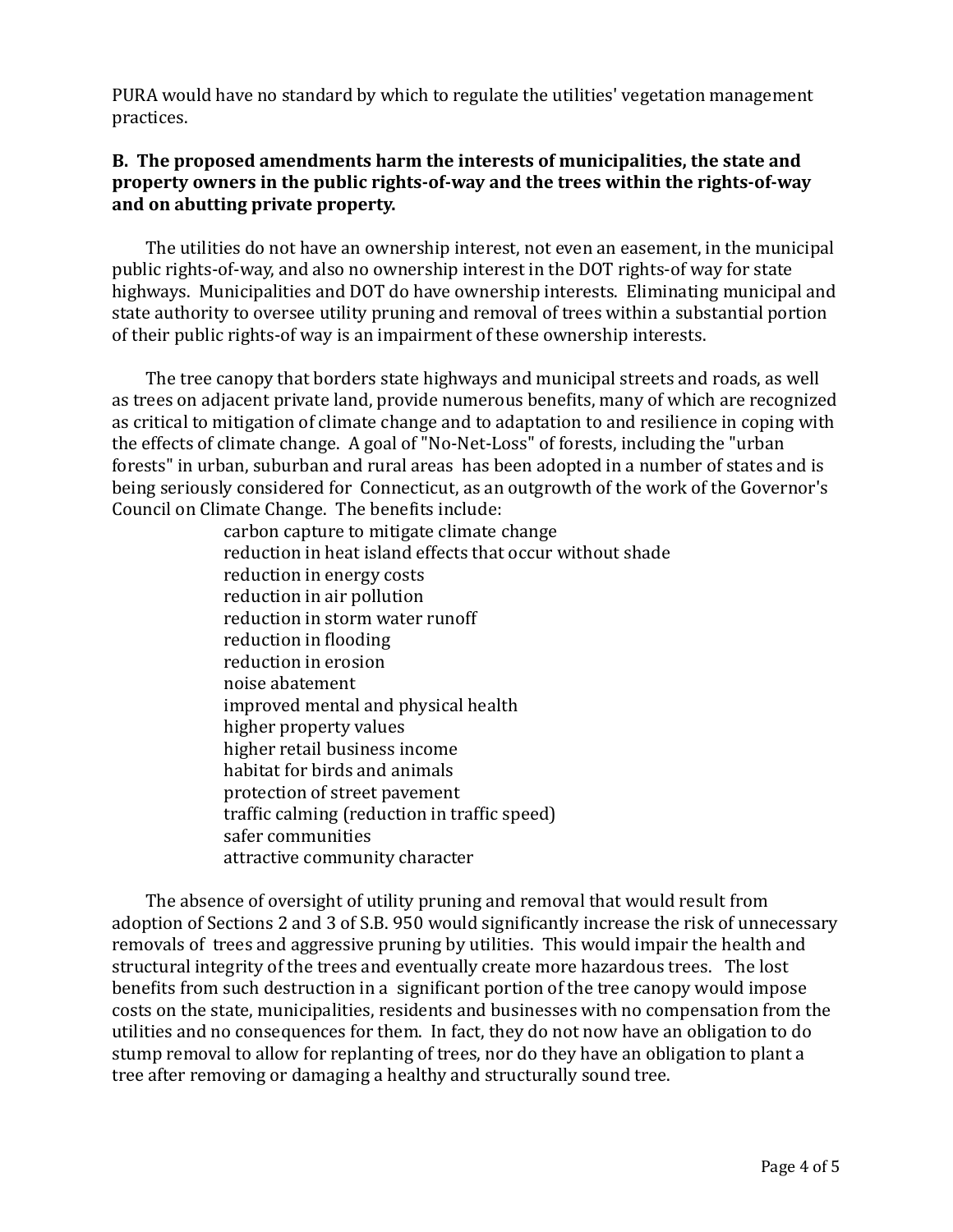PURA would have no standard by which to regulate the utilities' vegetation management practices.

# <span id="page-3-0"></span>**B.** The proposed amendments harm the interests of municipalities, the state and **property owners in the public rights-of-way and the trees within the rights-of-way** and on abutting private property.

The utilities do not have an ownership interest, not even an easement, in the municipal public rights-of-way, and also no ownership interest in the DOT rights-of way for state highways. Municipalities and DOT do have ownership interests. Eliminating municipal and state authority to oversee utility pruning and removal of trees within a substantial portion of their public rights-of way is an impairment of these ownership interests.

The tree canopy that borders state highways and municipal streets and roads, as well as trees on adjacent private land, provide numerous benefits, many of which are recognized as critical to mitigation of climate change and to adaptation to and resilience in coping with the effects of climate change. A goal of "No-Net-Loss" of forests, including the "urban forests" in urban, suburban and rural areas has been adopted in a number of states and is being seriously considered for Connecticut, as an outgrowth of the work of the Governor's Council on Climate Change. The benefits include:

> carbon capture to mitigate climate change reduction in heat island effects that occur without shade reduction in energy costs reduction in air pollution reduction in storm water runoff reduction in flooding reduction in erosion noise abatement improved mental and physical health higher property values higher retail business income habitat for birds and animals protection of street pavement traffic calming (reduction in traffic speed) safer communities attractive community character

The absence of oversight of utility pruning and removal that would result from adoption of Sections 2 and 3 of S.B. 950 would significantly increase the risk of unnecessary removals of trees and aggressive pruning by utilities. This would impair the health and structural integrity of the trees and eventually create more hazardous trees. The lost benefits from such destruction in a significant portion of the tree canopy would impose costs on the state, municipalities, residents and businesses with no compensation from the utilities and no consequences for them. In fact, they do not now have an obligation to do stump removal to allow for replanting of trees, nor do they have an obligation to plant a tree after removing or damaging a healthy and structurally sound tree.